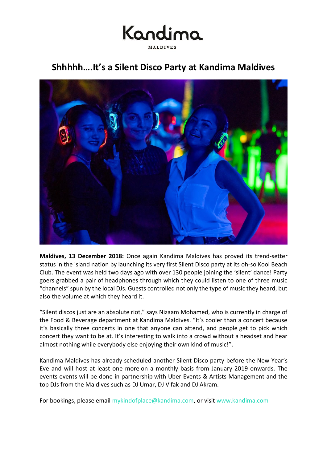

### **Shhhhh….It's a Silent Disco Party at Kandima Maldives**



**Maldives, 13 December 2018:** Once again Kandima Maldives has proved its trend-setter status in the island nation by launching its very first Silent Disco party at its oh-so Kool Beach Club. The event was held two days ago with over 130 people joining the 'silent' dance! Party goers grabbed a pair of headphones through which they could listen to one of three music "channels" spun by the local DJs. Guests controlled not only the type of music they heard, but also the volume at which they heard it.

"Silent discos just are an absolute riot," says Nizaam Mohamed, who is currently in charge of the Food & Beverage department at Kandima Maldives. "It's cooler than a concert because it's basically three concerts in one that anyone can attend, and people get to pick which concert they want to be at. It's interesting to walk into a crowd without a headset and hear almost nothing while everybody else enjoying their own kind of music!".

Kandima Maldives has already scheduled another Silent Disco party before the New Year's Eve and will host at least one more on a monthly basis from January 2019 onwards. The events events will be done in partnership with Uber Events & Artists Management and the top DJs from the Maldives such as DJ Umar, DJ Vifak and DJ Akram.

For bookings, please email [mykindofplace@kandima.com,](mailto:mykindofplace@kandima.com) or visit [www.kandima.com](http://kandima.com/index.php/en/offers/10-packages/120-uae-national-day)